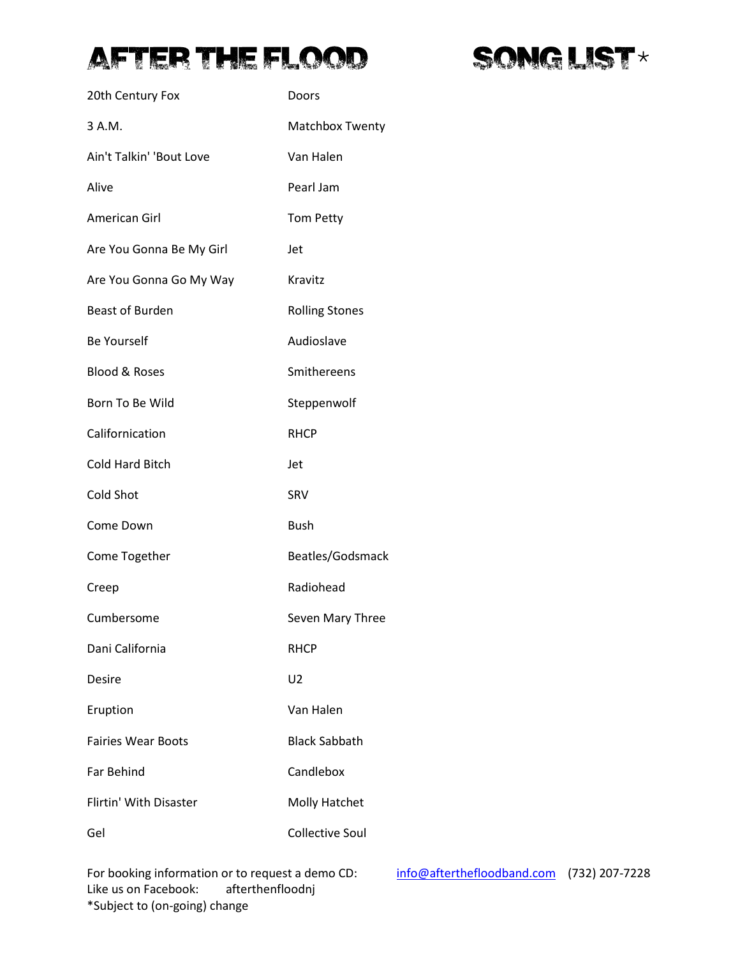## **AFTER THE FLOOD**



| 20th Century Fox          | Doors                  |
|---------------------------|------------------------|
| 3 A.M.                    | <b>Matchbox Twenty</b> |
| Ain't Talkin' 'Bout Love  | Van Halen              |
| Alive                     | Pearl Jam              |
| American Girl             | <b>Tom Petty</b>       |
| Are You Gonna Be My Girl  | Jet                    |
| Are You Gonna Go My Way   | Kravitz                |
| <b>Beast of Burden</b>    | <b>Rolling Stones</b>  |
| <b>Be Yourself</b>        | Audioslave             |
| <b>Blood &amp; Roses</b>  | Smithereens            |
| Born To Be Wild           | Steppenwolf            |
| Californication           | <b>RHCP</b>            |
| <b>Cold Hard Bitch</b>    | Jet                    |
| <b>Cold Shot</b>          | SRV                    |
| Come Down                 | <b>Bush</b>            |
| Come Together             | Beatles/Godsmack       |
| Creep                     | Radiohead              |
| Cumbersome                | Seven Mary Three       |
| Dani California           | <b>RHCP</b>            |
| Desire                    | U2                     |
| Eruption                  | Van Halen              |
| <b>Fairies Wear Boots</b> | <b>Black Sabbath</b>   |
| <b>Far Behind</b>         | Candlebox              |
| Flirtin' With Disaster    | Molly Hatchet          |
| Gel                       | <b>Collective Soul</b> |

For booking information or to request a demo CD: [info@afterthefloodband.com](mailto:info@afterthefloodband.com) (732) 207-7228<br>Like us on Facebook: afterthenfloodnj Like us on Facebook: \*Subject to (on-going) change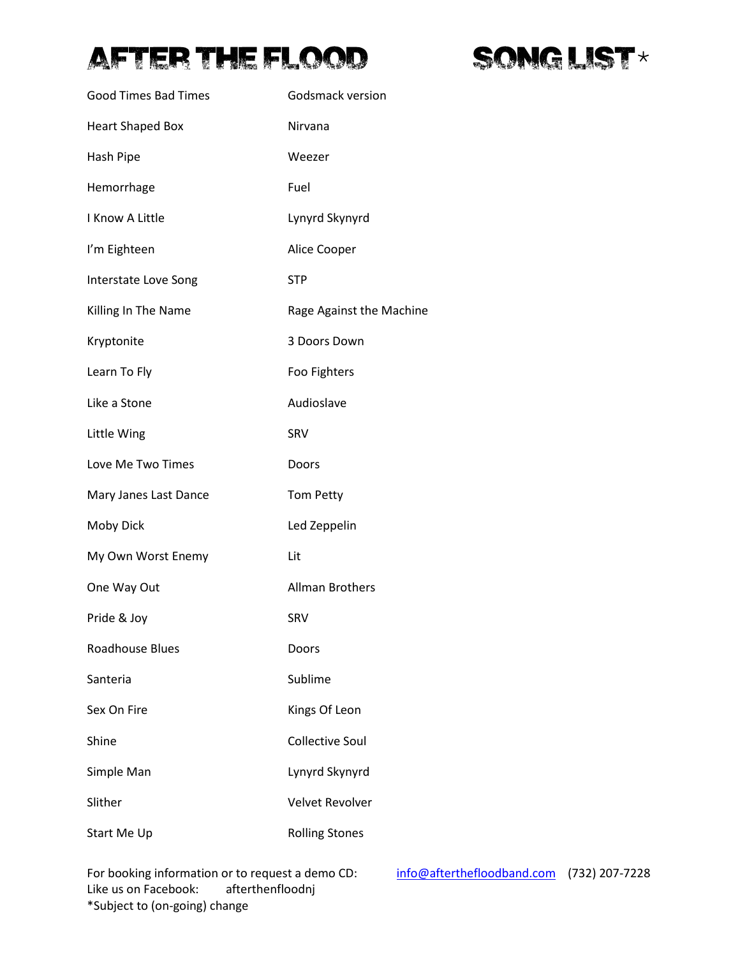## AFTER THE FLOOD



| <b>Good Times Bad Times</b> | Godsmack version         |
|-----------------------------|--------------------------|
| <b>Heart Shaped Box</b>     | Nirvana                  |
| Hash Pipe                   | Weezer                   |
| Hemorrhage                  | Fuel                     |
| I Know A Little             | Lynyrd Skynyrd           |
| I'm Eighteen                | Alice Cooper             |
| Interstate Love Song        | <b>STP</b>               |
| Killing In The Name         | Rage Against the Machine |
| Kryptonite                  | 3 Doors Down             |
| Learn To Fly                | Foo Fighters             |
| Like a Stone                | Audioslave               |
| Little Wing                 | SRV                      |
| Love Me Two Times           | Doors                    |
| Mary Janes Last Dance       | <b>Tom Petty</b>         |
| Moby Dick                   | Led Zeppelin             |
| My Own Worst Enemy          | Lit                      |
| One Way Out                 | <b>Allman Brothers</b>   |
| Pride & Joy                 | SRV                      |
| <b>Roadhouse Blues</b>      | Doors                    |
| Santeria                    | Sublime                  |
| Sex On Fire                 | Kings Of Leon            |
| Shine                       | <b>Collective Soul</b>   |
| Simple Man                  | Lynyrd Skynyrd           |
| Slither                     | <b>Velvet Revolver</b>   |
| Start Me Up                 | <b>Rolling Stones</b>    |

For booking information or to request a demo CD: [info@afterthefloodband.com](mailto:info@afterthefloodband.com) (732) 207-7228<br>Like us on Facebook: afterthenfloodnj Like us on Facebook: \*Subject to (on-going) change